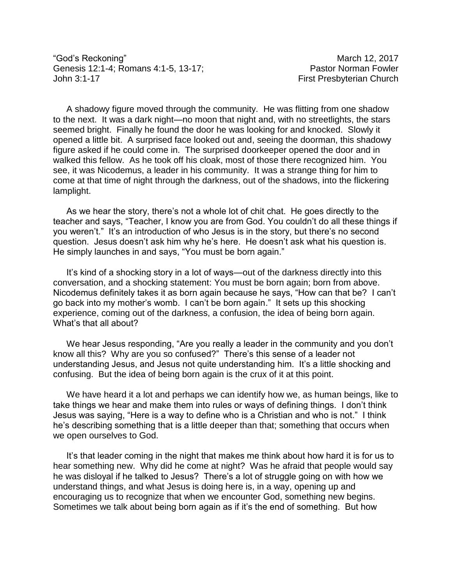"God's Reckoning" and the control of the control of the March 12, 2017 Genesis 12:1-4; Romans 4:1-5, 13-17; Christian Business Pastor Norman Fowler John 3:1-17 **First Presbyterian Church** 

A shadowy figure moved through the community. He was flitting from one shadow to the next. It was a dark night—no moon that night and, with no streetlights, the stars seemed bright. Finally he found the door he was looking for and knocked. Slowly it opened a little bit. A surprised face looked out and, seeing the doorman, this shadowy figure asked if he could come in. The surprised doorkeeper opened the door and in walked this fellow. As he took off his cloak, most of those there recognized him. You see, it was Nicodemus, a leader in his community. It was a strange thing for him to come at that time of night through the darkness, out of the shadows, into the flickering lamplight.

As we hear the story, there's not a whole lot of chit chat. He goes directly to the teacher and says, "Teacher, I know you are from God. You couldn't do all these things if you weren't." It's an introduction of who Jesus is in the story, but there's no second question. Jesus doesn't ask him why he's here. He doesn't ask what his question is. He simply launches in and says, "You must be born again."

It's kind of a shocking story in a lot of ways—out of the darkness directly into this conversation, and a shocking statement: You must be born again; born from above. Nicodemus definitely takes it as born again because he says, "How can that be? I can't go back into my mother's womb. I can't be born again." It sets up this shocking experience, coming out of the darkness, a confusion, the idea of being born again. What's that all about?

We hear Jesus responding, "Are you really a leader in the community and you don't know all this? Why are you so confused?" There's this sense of a leader not understanding Jesus, and Jesus not quite understanding him. It's a little shocking and confusing. But the idea of being born again is the crux of it at this point.

We have heard it a lot and perhaps we can identify how we, as human beings, like to take things we hear and make them into rules or ways of defining things. I don't think Jesus was saying, "Here is a way to define who is a Christian and who is not." I think he's describing something that is a little deeper than that; something that occurs when we open ourselves to God.

It's that leader coming in the night that makes me think about how hard it is for us to hear something new. Why did he come at night? Was he afraid that people would say he was disloyal if he talked to Jesus? There's a lot of struggle going on with how we understand things, and what Jesus is doing here is, in a way, opening up and encouraging us to recognize that when we encounter God, something new begins. Sometimes we talk about being born again as if it's the end of something. But how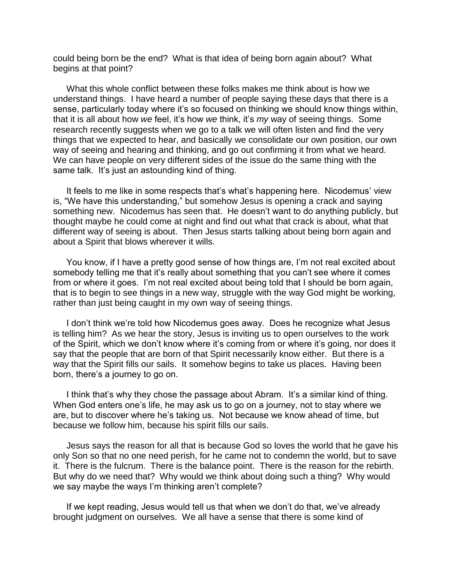could being born be the end? What is that idea of being born again about? What begins at that point?

What this whole conflict between these folks makes me think about is how we understand things. I have heard a number of people saying these days that there is a sense, particularly today where it's so focused on thinking we should know things within, that it is all about how *we* feel, it's how *we* think, it's *my* way of seeing things. Some research recently suggests when we go to a talk we will often listen and find the very things that we expected to hear, and basically we consolidate our own position, our own way of seeing and hearing and thinking, and go out confirming it from what we heard. We can have people on very different sides of the issue do the same thing with the same talk. It's just an astounding kind of thing.

It feels to me like in some respects that's what's happening here. Nicodemus' view is, "We have this understanding," but somehow Jesus is opening a crack and saying something new. Nicodemus has seen that. He doesn't want to do anything publicly, but thought maybe he could come at night and find out what that crack is about, what that different way of seeing is about. Then Jesus starts talking about being born again and about a Spirit that blows wherever it wills.

You know, if I have a pretty good sense of how things are, I'm not real excited about somebody telling me that it's really about something that you can't see where it comes from or where it goes. I'm not real excited about being told that I should be born again, that is to begin to see things in a new way, struggle with the way God might be working, rather than just being caught in my own way of seeing things.

I don't think we're told how Nicodemus goes away. Does he recognize what Jesus is telling him? As we hear the story, Jesus is inviting us to open ourselves to the work of the Spirit, which we don't know where it's coming from or where it's going, nor does it say that the people that are born of that Spirit necessarily know either. But there is a way that the Spirit fills our sails. It somehow begins to take us places. Having been born, there's a journey to go on.

I think that's why they chose the passage about Abram. It's a similar kind of thing. When God enters one's life, he may ask us to go on a journey, not to stay where we are, but to discover where he's taking us. Not because we know ahead of time, but because we follow him, because his spirit fills our sails.

Jesus says the reason for all that is because God so loves the world that he gave his only Son so that no one need perish, for he came not to condemn the world, but to save it. There is the fulcrum. There is the balance point. There is the reason for the rebirth. But why do we need that? Why would we think about doing such a thing? Why would we say maybe the ways I'm thinking aren't complete?

If we kept reading, Jesus would tell us that when we don't do that, we've already brought judgment on ourselves. We all have a sense that there is some kind of